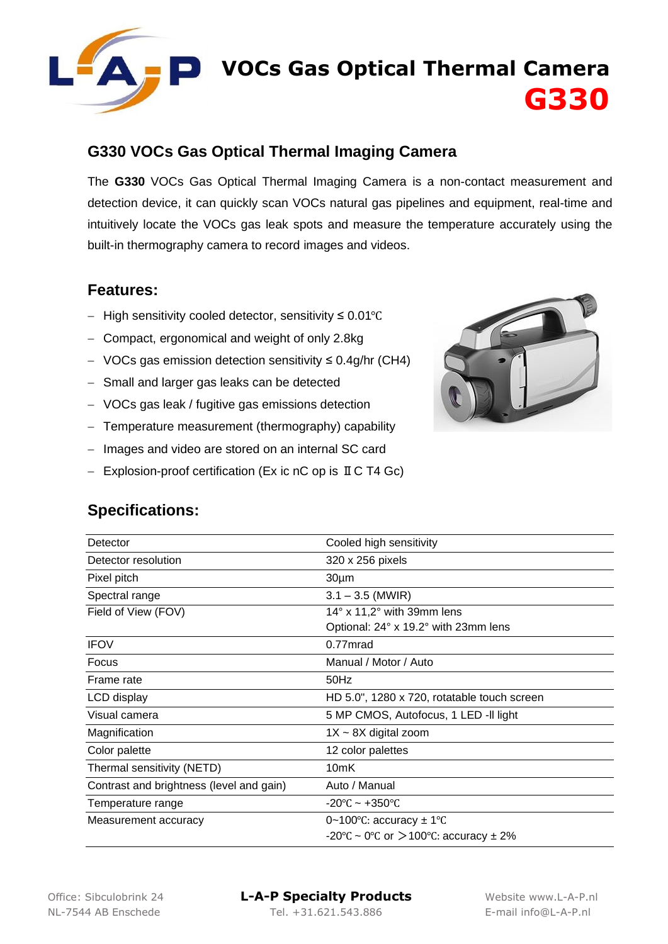

## **VOCs Gas Optical Thermal Camera G330**

#### **G330 VOCs Gas Optical Thermal Imaging Camera**

The **G330** VOCs Gas Optical Thermal Imaging Camera is a non-contact measurement and detection device, it can quickly scan VOCs natural gas pipelines and equipment, real-time and intuitively locate the VOCs gas leak spots and measure the temperature accurately using the built-in thermography camera to record images and videos.

#### **Features:**

- − High sensitivity cooled detector, sensitivity ≤ 0.01℃
- − Compact, ergonomical and weight of only 2.8kg
- − VOCs gas emission detection sensitivity ≤ 0.4g/hr (CH4)
- − Small and larger gas leaks can be detected
- − VOCs gas leak / fugitive gas emissions detection
- − Temperature measurement (thermography) capability
- − Images and video are stored on an internal SC card
- − Explosion-proof certification (Ex ic nC op is ⅡC T4 Gc)



#### **Specifications:**

| Detector                                 | Cooled high sensitivity                               |
|------------------------------------------|-------------------------------------------------------|
| Detector resolution                      | 320 x 256 pixels                                      |
| Pixel pitch                              | 30 <sub>µ</sub> m                                     |
| Spectral range                           | $3.1 - 3.5$ (MWIR)                                    |
| Field of View (FOV)                      | $14^{\circ}$ x 11,2 $^{\circ}$ with 39mm lens         |
|                                          | Optional: 24° x 19.2° with 23mm lens                  |
| <b>IFOV</b>                              | 0.77mrad                                              |
| Focus                                    | Manual / Motor / Auto                                 |
| Frame rate                               | 50Hz                                                  |
| LCD display                              | HD 5.0", 1280 x 720, rotatable touch screen           |
| Visual camera                            | 5 MP CMOS, Autofocus, 1 LED -II light                 |
| Magnification                            | $1X \sim 8X$ digital zoom                             |
| Color palette                            | 12 color palettes                                     |
| Thermal sensitivity (NETD)               | 10 <sub>m</sub> K                                     |
| Contrast and brightness (level and gain) | Auto / Manual                                         |
| Temperature range                        | $-20^{\circ}$ C ~ $+350^{\circ}$ C                    |
| Measurement accuracy                     | 0~100 $\degree$ C: accuracy $\pm$ 1 $\degree$ C       |
|                                          | $-20^{\circ}$ C ~ 0°C or $>$ 100°C: accuracy $\pm$ 2% |

Office: Sibculobrink 24 **L-A-P Specialty Products** Website www.L-A-P.nl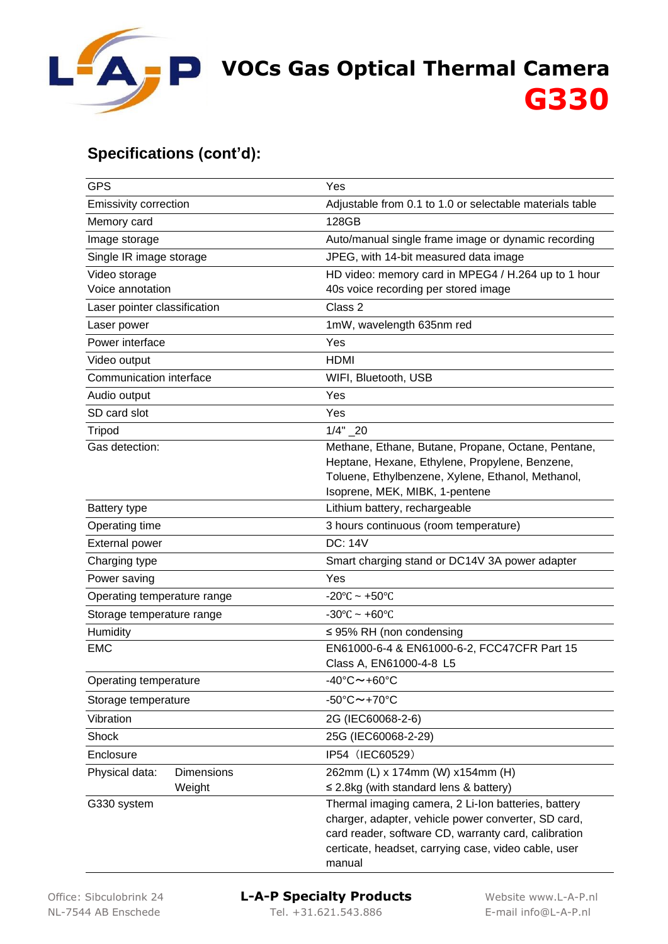

# **VOCs Gas Optical Thermal Camera G330**

#### **Specifications (cont'd):**

| <b>GPS</b>                   | Yes                                                                                                                                                                                                                        |
|------------------------------|----------------------------------------------------------------------------------------------------------------------------------------------------------------------------------------------------------------------------|
| <b>Emissivity correction</b> | Adjustable from 0.1 to 1.0 or selectable materials table                                                                                                                                                                   |
| Memory card                  | 128GB                                                                                                                                                                                                                      |
| Image storage                | Auto/manual single frame image or dynamic recording                                                                                                                                                                        |
| Single IR image storage      | JPEG, with 14-bit measured data image                                                                                                                                                                                      |
| Video storage                | HD video: memory card in MPEG4 / H.264 up to 1 hour                                                                                                                                                                        |
| Voice annotation             | 40s voice recording per stored image                                                                                                                                                                                       |
| Laser pointer classification | Class 2                                                                                                                                                                                                                    |
| Laser power                  | 1mW, wavelength 635nm red                                                                                                                                                                                                  |
| Power interface              | Yes                                                                                                                                                                                                                        |
| Video output                 | <b>HDMI</b>                                                                                                                                                                                                                |
| Communication interface      | WIFI, Bluetooth, USB                                                                                                                                                                                                       |
| Audio output                 | Yes                                                                                                                                                                                                                        |
| SD card slot                 | Yes                                                                                                                                                                                                                        |
| <b>Tripod</b>                | $1/4" - 20$                                                                                                                                                                                                                |
| Gas detection:               | Methane, Ethane, Butane, Propane, Octane, Pentane,                                                                                                                                                                         |
|                              | Heptane, Hexane, Ethylene, Propylene, Benzene,                                                                                                                                                                             |
|                              | Toluene, Ethylbenzene, Xylene, Ethanol, Methanol,<br>Isoprene, MEK, MIBK, 1-pentene                                                                                                                                        |
| <b>Battery type</b>          | Lithium battery, rechargeable                                                                                                                                                                                              |
| Operating time               | 3 hours continuous (room temperature)                                                                                                                                                                                      |
| <b>External power</b>        | <b>DC: 14V</b>                                                                                                                                                                                                             |
| Charging type                | Smart charging stand or DC14V 3A power adapter                                                                                                                                                                             |
| Power saving                 | Yes                                                                                                                                                                                                                        |
| Operating temperature range  | $-20^{\circ}$ C ~ +50 $^{\circ}$ C                                                                                                                                                                                         |
| Storage temperature range    | $-30^{\circ}$ C ~ +60 $^{\circ}$ C                                                                                                                                                                                         |
| Humidity                     | $\leq$ 95% RH (non condensing                                                                                                                                                                                              |
| <b>EMC</b>                   | EN61000-6-4 & EN61000-6-2, FCC47CFR Part 15                                                                                                                                                                                |
|                              | Class A, EN61000-4-8 L5                                                                                                                                                                                                    |
| Operating temperature        | 40°C~+60°C                                                                                                                                                                                                                 |
| Storage temperature          | $-50^{\circ}$ C $\sim$ +70 $^{\circ}$ C                                                                                                                                                                                    |
| Vibration                    | 2G (IEC60068-2-6)                                                                                                                                                                                                          |
| Shock                        | 25G (IEC60068-2-29)                                                                                                                                                                                                        |
| Enclosure                    | IP54 (IEC60529)                                                                                                                                                                                                            |
| Physical data:<br>Dimensions | 262mm (L) x 174mm (W) x154mm (H)                                                                                                                                                                                           |
| Weight                       | $\leq$ 2.8kg (with standard lens & battery)                                                                                                                                                                                |
| G330 system                  | Thermal imaging camera, 2 Li-Ion batteries, battery<br>charger, adapter, vehicle power converter, SD card,<br>card reader, software CD, warranty card, calibration<br>certicate, headset, carrying case, video cable, user |
|                              | manual                                                                                                                                                                                                                     |

### Office: Sibculobrink 24 **L-A-P Specialty Products** Website www.L-A-P.nl